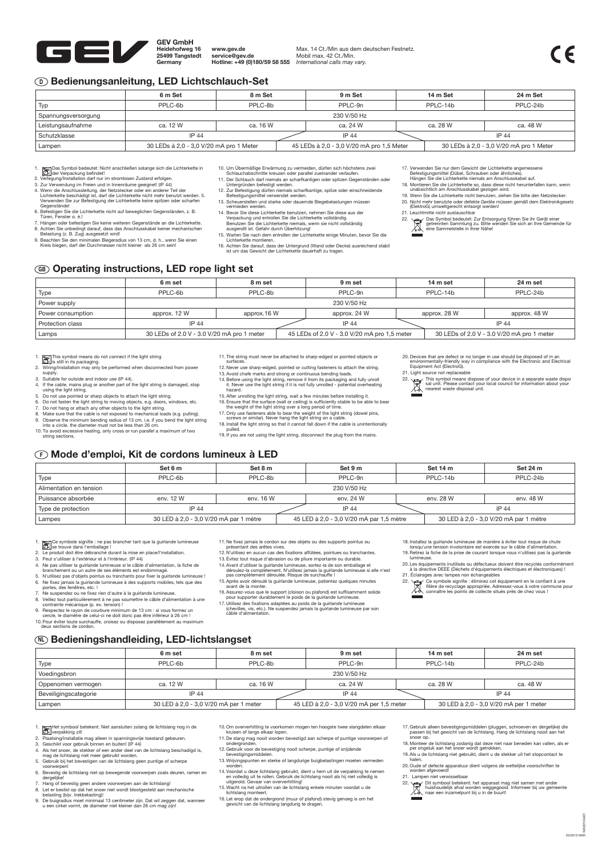|                       | 6 m set                                | 8 m set     |                                          | 9 m set |          | 14 m set                               | 24 m set     |  |  |
|-----------------------|----------------------------------------|-------------|------------------------------------------|---------|----------|----------------------------------------|--------------|--|--|
| Type                  | PPLC-6b                                | PPLC-8b     |                                          | PPLC-9n |          | PPLC-14b                               | PPLC-24b     |  |  |
| Voedingsbron          |                                        | 230 V/50 Hz |                                          |         |          |                                        |              |  |  |
| Oppenomen vermogen    | ca. 12 W                               | ca. 16 W    | ca. 24 W                                 |         | ca. 28 W |                                        | ca. 48 W     |  |  |
| Beveiligingscategorie | <b>IP 44</b>                           |             |                                          | IP 44   |          |                                        | <b>IP 44</b> |  |  |
| Lampen                | 30 LED à 2,0 - 3,0 V/20 mA per 1 meter |             | 45 LED à 2,0 - 3,0 V/20 mA per 1,5 meter |         |          | 30 LED à 2,0 - 3,0 V/20 mA per 1 meter |              |  |  |

- 1. **For** Het symbool betekent: Niet aansluiten zolang de lichtslang nog in de<br>Verpakking zit!
- 2. Plaatsing/installatie mag alleen in spanningsvrije toestand gebeuren.
- 3. Geschikt voor gebruik binnen en buiten! (IP 44)
- 4. Als het snoer, de stekker of een ander deel van de lichtslang beschadigd is, mag de lichtslang niet meer gebruikt worden.
- 5. Gebruik bij het bevestigen van de lichtslang geen puntige of scherpe voorwerpen!
- 6. Bevestig de lichtslang niet op bewegende voorwerpen zoals deuren, ramen en dergelijke!
- 7. Hang of bevestig geen andere voorwerpen aan de lichtslang!
- 8. Let er beslist op dat het snoer niet wordt blootgesteld aan mechanische belasting (bijv. trekbelasting)!
- 9. De buigradius moet minimaal 13 centimeter zijn. Dat wil zeggen dat, wanneer u een cirkel vormt, de diameter niet kleiner dan 26 cm mag zijn!
- 10.Om oververhitting te voorkomen mogen ten hoogste twee slangdelen elkaar kruisen of langs elkaar lopen.
- 11.De slang mag nooit worden bevestigd aan scherpe of puntige voorwerpen of ondergronden.
- 12.Gebruik voor de bevestiging nooit scherpe, puntige of snijdende bevestigingsmiddelen.
- 13.Wrijvingspunten en sterke of langdurige buigbelastingen moeten vermeden worden.
- 14.Voordat u deze lichtslang gebruikt, dient u hem uit de verpakking te nemen en volledig uit te rollen. Gebruik de lichtslang nooit als hij niet volledig is uitgerold. Gevaar van oververhitting!
- 15.Wacht na het uitrollen van de lichtslang enkele minuten voordat u de lichtslang monteert.
- 16. Let erop dat de ondergrond (muur of plafond) stevig genoeg is om het gewicht van de lichtslang langdurig te dragen.
- 17.Gebruik alleen bevestigingsmiddelen (pluggen, schroeven en dergelijke) die passen bij het gewicht van de lichtslang. Hang de lichtslang nooit aan het snoer op.
- 18.Monteer de lichtslang zodanig dat deze niet naar beneden kan vallen, als er per ongeluk aan het snoer wordt getrokken.
- 19.Als u de lichtslang niet gebruikt, dient u de stekker uit het stopcontact te halen.
- 20.Oude of defecte apparatuur dient volgens de wettelijke voorschriften te worden afgevoerd!
- 21. Lampen niet verwisselbaa
- 22. Dit symbool betekent: het apparaat mag niet samen met ander<br>
(Thuishoudelijk afval worden weggegooid. Informeer bij uw gemeente<br>
A maar een inzamelpunt bij u in de buurt!
- 1. Das Symbol bedeutet: Nicht anschließen solange sich die Lichterkette in der Verpackung befindet! 2. Verlegung/Installation darf nur im stromlosen Zustand erfolgen.
- 
- 3. Zur Verwendung im Freien und in Innenräume geeignet! (IP 44)
- 4. Wenn die Anschlussleitung, der Netzstecker oder ein anderer Teil der Lichterkette beschädigt ist, darf die Lichterkette nicht mehr benutzt werden. 5. Verwenden Sie zur Befestigung der Lichterkette keine spitzen oder scharfen Gegenstände!
- 6. Befestigen Sie die Lichterkette nicht auf beweglichen Gegenständen, z. B. Türen, Fenster o. è.!
- 7. Hängen oder befestigen Sie keine weiteren Gegenstände an die Lichterkette. 8. Achten Sie unbedingt darauf, dass das Anschlusskabel keiner mechanischen
- Belastung (z. B. Zug) ausgesetzt wird! 9. Beachten Sie den minimalen Biegeradius von 13 cm, d. h., wenn Sie einen
- Kreis biegen, darf der Durchmesser nicht kleiner als 26 cm sein!
- 10. Um Übermäßige Erwärmung zu vermeiden, dürfen sich höchstens zwei Schlauchabschnitte kreuzen oder parallel zueinander verlaufen.
- 11. Der Schlauch darf niemals an scharfkantigen oder spitzen Gegenständen oder Untergründen befestigt werden.
- 12. Zur Befestigung dürfen niemals scharfkantige, spitze oder einschneidende Befestigungsmittel verwendet werden.
- 13. Scheuerstellen und starke oder dauernde Biegebelastungen müssen vermieden werden.
- 14. Bevor Sie diese Lichterkette benutzen, nehmen Sie diese aus der Verpackung und entrollen Sie die Lichterkette vollständig. Benutzen Sie die Lichterkette niemals, wenn sie nicht vollständig ausgerollt ist. Gefahr durch Überhitzung!
- 15. Warten Sie nach dem entrollen der Lichterkette einige Minuten, bevor Sie die Lichterkette montieren.
- 16. Achten Sie darauf, dass der Untergrund (Wand oder Decke) ausreichend stabil ist um das Gewicht der Lichterkette dauerhaft zu tragen.
- 17. Verwenden Sie nur dem Gewicht der Lichterkette angemessene Befestigungsmittel (Dübel, Schrauben oder ähnliches). Hängen Sie die Lichterkette niemals am Anschlusskabel auf.
- 18. Montieren Sie die Lichterkette so, dass diese nicht herunterfallen kann, wenn unabsichtlich am Anschlusskabel gezogen wird.
- 19. Wenn Sie die Lichterkette nicht benutzen, ziehen Sie bitte den Netzstecker. 20. Nicht mehr benutzte oder defekte Geräte müssen gemäß dem Elektronikgesetz
- (ElektroG) umweltgerecht entsorgt werden! 21. Leuchtmitte nicht austauschbar
	-
- 22. Das Symbol bedeutet: Zur Entsorgung führen Sie ihr Gerät einer<br>  $\chi$ einennten Sammelstelle in Ihrer Nähe!<br>
eine Sammelstelle in Ihrer Nähe!

|                         | Set 6 m                                | Set 8 m     |                                          | Set 9 m      |           | Set 14 m                               | Set 24 m  |  |  |
|-------------------------|----------------------------------------|-------------|------------------------------------------|--------------|-----------|----------------------------------------|-----------|--|--|
| Type                    | PPLC-6b                                | PPLC-8b     |                                          | PPLC-9n      |           | PPLC-14b                               | PPLC-24b  |  |  |
| Alimentation en tension |                                        | 230 V/50 Hz |                                          |              |           |                                        |           |  |  |
| Puissance absorbée      | env. 12 W                              | env. 16 W   |                                          | env. 24 W    | env. 28 W |                                        | env. 48 W |  |  |
| Type de protection      | IP 44                                  |             |                                          | <b>IP 44</b> |           |                                        | IP 44     |  |  |
| Lampes                  | 30 LED à 2,0 - 3,0 V/20 mA par 1 mètre |             | 45 LED à 2,0 - 3,0 V/20 mA par 1,5 mètre |              |           | 30 LED à 2,0 - 3,0 V/20 mA par 1 mètre |           |  |  |

#### <sup>D</sup> Bedienungsanleitung, LED Lichtschlauch-Set

### GB Operating instructions, LED rope light set

- 1.  $\sum_{i=1}^{\infty}$  This symbol means do not connect if the light string is still in its packaging.
- 2. Wiring/installation may only be performed when disconnected from power supply.
- 3. Suitable for outside and indoor use (IP 44).
- 4. If the cable, mains plug or another part of the light string is damaged, stop using the light string.
- 5. Do not use pointed or sharp objects to attach the light string.
- 6. Do not fasten the light string to moving objects, e.g. doors, windows, etc.
- 7. Do not hang or attach any other objects to the light string.
- 8. Make sure that the cable is not exposed to mechanical loads (e.g. pulling). 9. Observe the minimum bending radius of 13 cm, i.e. if you bend the light string into a circle, the diameter must not be less than 26 cm.
- 10. To avoid excessive heating, only cross or run parallel a maximum of two string sections.
- 11. The string must never be attached to sharp-edged or pointed objects or
- surfaces. 12. Never use sharp-edged, pointed or cutting fasteners to attach the string.
- 13. Avoid chafe marks and strong or continuous bending loads.
- 14. Before using the light string, remove it from its packaging and fully unroll it. Never use the light string if it is not fully unrolled - potential overheating hazard.
- 15. After unrolling the light string, wait a few minutes before installing it. 16. Ensure that the surface (wall or ceiling) is sufficiently stable to be able to bear
- the weight of the light string over a long period of time.
- 17. Only use fasteners able to bear the weight of the light string (dowel pins, screws or similar). Never hang the light string on a cable. 18. Install the light string so that it cannot fall down if the cable is unintentionally
- pulled. 19. If you are not using the light string, disconnect the plug from the mains.
- 20. Devices that are defect or no longer in use should be disposed of in an environmentally-friendly way in compliance with the Electronic and Electrical Equipment Act (ElectroG).
- 21. Light source not replaceable

- - pas complètement déroulée. Risque de surchauffe !
	- avant de la monter.
- 1. Se ce symbole signifie : ne pas brancher tant que la guirlande lumineuse<br>
se trouve dans l'emballage !
- 2. Le produit doit être débranché durant la mise en place/l'installation.
- 3. Peut s'utiliser à l'extérieur et à l'intérieur. (IP 44)
- 4. Ne pas utiliser la guirlande lumineuse si le câble d'alimentation, la fiche de branchement ou un autre de ses éléments est endommagé.
- 5. N'utilisez pas d'objets pointus ou tranchants pour fixer la guirlande lumineuse ! 6. Ne fixez jamais la guirlande lumineuse à des supports mobiles, tels que des
- portes, des fenêtres, etc. ! Ne suspendez ou ne fixez rien d'autre à la guirlande lumineuse.
- 8. Veillez tout particulièrement à ne pas soumettre le câble d'alimentation à une contrainte mécanique (p. ex. tension) !
- 9. Respectez le rayon de courbure minimum de 13 cm : si vous formez un
- cercle, le diamètre de celui-ci ne doit donc pas être inférieur à 26 cm !
- 10.Pour éviter toute surchauffe, croisez ou disposez parallèlement au maximum deux sections de cordon.
- 11.Ne fixez jamais le cordon sur des objets ou des supports pointus ou présentant des arêtes vives.
- 12.N'utilisez en aucun cas des fixations affûtées, pointues ou tranchantes.
- 13.Évitez tout risque d'abrasion ou de pliure importante ou durable.
- 14.Avant d'utiliser la guirlande lumineuse, sortez-la de son emballage et déroulez-la complètement. N'utilisez jamais la guirlande lumineuse si elle n'est
- 15.Après avoir déroulé la guirlande lumineuse, patientez quelques minutes
- 16.Assurez-vous que le support (cloison ou plafond) est suffisamment solide
- 17.Utilisez des fixations adaptées au poids de la guirlande lumineuse
- câble d'alimentation.
- 

Max. 14 Ct./Min aus dem deutschen Festnetz. Mobil max. 42 Ct./Min. **Hotline: +49 (0)180/59 58 555** International calls may vary.

# NL Bedieningshandleiding, LED-lichtslangset



GEV GmbH Heidehofweg 16 25499 Tangstedt **Germany** 

## F Mode d'emploi, Kit de cordons lumineux à LED

pour supporter durablement le poids de la guirlande lumineuse.

(chevilles, vis, etc.). Ne suspendez jamais la guirlande lumineuse par son

18.Installez la guirlande lumineuse de manière à éviter tout risque de chute lorsqu'une tension involontaire est exercée sur le câble d'alimentation. 19.Retirez la fiche de la prise de courant lorsque vous n'utilisez pas la guirlande

lumineuse.

20.Les équipements inutilisés ou défectueux doivent être recyclés conformément à la directive DEEE (Déchets d'équipements électriques et électroniques) !

22. Ve symbole signifie : éliminez cet équipement en le confiant à une<br>
(X ilière de recyclage appropriée. Adressez-vous à votre commune pour<br>
→ Connaître les points de collecte situés près de chez vous !

21. Éclairages avec lampes non échangeables

22. This symbol means dispose of your device in a separate waste dispo<br>  $\chi$  sal unit. Please contact your local council for information about your<br>  $\sim$  A nearest waste disposal unit.

|                     | 6 m Set                                 | 8 m Set     |                                           | 9 m Set  |  | 14 m Set                                | 24 m Set |  |  |  |
|---------------------|-----------------------------------------|-------------|-------------------------------------------|----------|--|-----------------------------------------|----------|--|--|--|
| Typ                 | PPLC-6b                                 | PPLC-8b     |                                           | PPLC-9n  |  | PPLC-14b                                | PPLC-24b |  |  |  |
| Spannungsversorgung |                                         | 230 V/50 Hz |                                           |          |  |                                         |          |  |  |  |
| Leistungsaufnahme   | ca. 12 W                                | ca. 16 W    |                                           | ca. 24 W |  | ca. 28 W                                | ca. 48 W |  |  |  |
| Schutzklasse        | <b>IP 44</b>                            |             |                                           | IP 44    |  | IP 44                                   |          |  |  |  |
| Lampen              | 30 LEDs à 2,0 - 3,0 V/20 mA pro 1 Meter |             | 45 LEDs à 2,0 - 3,0 V/20 mA pro 1,5 Meter |          |  | 30 LEDs à 2,0 - 3,0 V/20 mA pro 1 Meter |          |  |  |  |

|                         | 6 m set                                    | 8 m set                                      |  | 9 m set      |                                            | 14 m set | 24 m set     |  |  |
|-------------------------|--------------------------------------------|----------------------------------------------|--|--------------|--------------------------------------------|----------|--------------|--|--|
| Type                    | PPLC-6b                                    | PPLC-8b                                      |  | PPLC-9n      | PPLC-14b                                   |          | PPLC-24b     |  |  |
| Power supply            | 230 V/50 Hz                                |                                              |  |              |                                            |          |              |  |  |
| Power consumption       | approx. 12 W                               | approx.16 W                                  |  | approx. 24 W | approx. 28 W                               |          | approx. 48 W |  |  |
| <b>Protection class</b> | IP 44                                      |                                              |  | IP 44        |                                            |          | IP 44        |  |  |
| Lamps                   | 30 LEDs of 2.0 V - 3.0 V/20 mA pro 1 meter | 45 LEDs of 2.0 V - 3.0 V/20 mA pro 1,5 meter |  |              | 30 LEDs of 2.0 V - 3.0 V/20 mA pro 1 meter |          |              |  |  |

www.gev.de service@gev.de